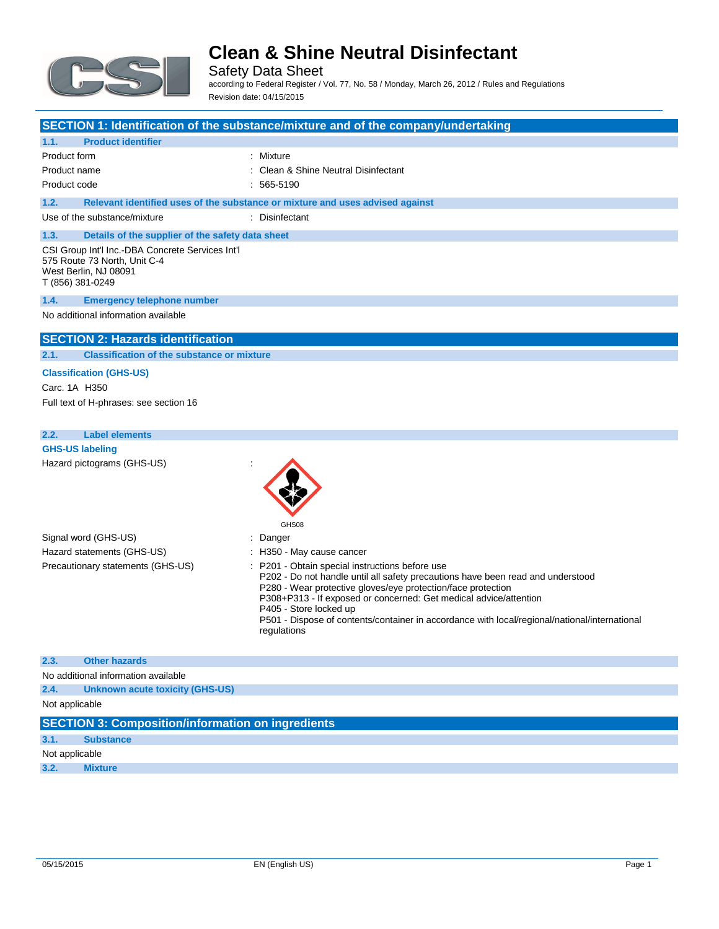

Safety Data Sheet according to Federal Register / Vol. 77, No. 58 / Monday, March 26, 2012 / Rules and Regulations Revision date: 04/15/2015

| <b>Product identifier</b><br>1.1.<br>Product form<br>: Mixture<br>Clean & Shine Neutral Disinfectant<br>Product name<br>565-5190<br>Product code<br>1.2.<br>Relevant identified uses of the substance or mixture and uses advised against<br>Use of the substance/mixture<br>: Disinfectant<br>1.3.<br>Details of the supplier of the safety data sheet<br>CSI Group Int'l Inc.-DBA Concrete Services Int'l<br>575 Route 73 North, Unit C-4<br>West Berlin, NJ 08091<br>T (856) 381-0249<br>1.4.<br><b>Emergency telephone number</b><br>No additional information available<br><b>SECTION 2: Hazards identification</b><br>2.1.<br><b>Classification of the substance or mixture</b><br><b>Classification (GHS-US)</b><br>Carc. 1A H350<br>Full text of H-phrases: see section 16<br>2.2.<br><b>Label elements</b><br><b>GHS-US labeling</b><br>Hazard pictograms (GHS-US)<br>GHS08<br>Signal word (GHS-US)<br>$:$ Danger |
|----------------------------------------------------------------------------------------------------------------------------------------------------------------------------------------------------------------------------------------------------------------------------------------------------------------------------------------------------------------------------------------------------------------------------------------------------------------------------------------------------------------------------------------------------------------------------------------------------------------------------------------------------------------------------------------------------------------------------------------------------------------------------------------------------------------------------------------------------------------------------------------------------------------------------|
|                                                                                                                                                                                                                                                                                                                                                                                                                                                                                                                                                                                                                                                                                                                                                                                                                                                                                                                            |
|                                                                                                                                                                                                                                                                                                                                                                                                                                                                                                                                                                                                                                                                                                                                                                                                                                                                                                                            |
|                                                                                                                                                                                                                                                                                                                                                                                                                                                                                                                                                                                                                                                                                                                                                                                                                                                                                                                            |
|                                                                                                                                                                                                                                                                                                                                                                                                                                                                                                                                                                                                                                                                                                                                                                                                                                                                                                                            |
|                                                                                                                                                                                                                                                                                                                                                                                                                                                                                                                                                                                                                                                                                                                                                                                                                                                                                                                            |
|                                                                                                                                                                                                                                                                                                                                                                                                                                                                                                                                                                                                                                                                                                                                                                                                                                                                                                                            |
|                                                                                                                                                                                                                                                                                                                                                                                                                                                                                                                                                                                                                                                                                                                                                                                                                                                                                                                            |
|                                                                                                                                                                                                                                                                                                                                                                                                                                                                                                                                                                                                                                                                                                                                                                                                                                                                                                                            |
|                                                                                                                                                                                                                                                                                                                                                                                                                                                                                                                                                                                                                                                                                                                                                                                                                                                                                                                            |
|                                                                                                                                                                                                                                                                                                                                                                                                                                                                                                                                                                                                                                                                                                                                                                                                                                                                                                                            |
|                                                                                                                                                                                                                                                                                                                                                                                                                                                                                                                                                                                                                                                                                                                                                                                                                                                                                                                            |
|                                                                                                                                                                                                                                                                                                                                                                                                                                                                                                                                                                                                                                                                                                                                                                                                                                                                                                                            |
|                                                                                                                                                                                                                                                                                                                                                                                                                                                                                                                                                                                                                                                                                                                                                                                                                                                                                                                            |
|                                                                                                                                                                                                                                                                                                                                                                                                                                                                                                                                                                                                                                                                                                                                                                                                                                                                                                                            |
|                                                                                                                                                                                                                                                                                                                                                                                                                                                                                                                                                                                                                                                                                                                                                                                                                                                                                                                            |
|                                                                                                                                                                                                                                                                                                                                                                                                                                                                                                                                                                                                                                                                                                                                                                                                                                                                                                                            |
|                                                                                                                                                                                                                                                                                                                                                                                                                                                                                                                                                                                                                                                                                                                                                                                                                                                                                                                            |
|                                                                                                                                                                                                                                                                                                                                                                                                                                                                                                                                                                                                                                                                                                                                                                                                                                                                                                                            |
|                                                                                                                                                                                                                                                                                                                                                                                                                                                                                                                                                                                                                                                                                                                                                                                                                                                                                                                            |
|                                                                                                                                                                                                                                                                                                                                                                                                                                                                                                                                                                                                                                                                                                                                                                                                                                                                                                                            |
|                                                                                                                                                                                                                                                                                                                                                                                                                                                                                                                                                                                                                                                                                                                                                                                                                                                                                                                            |
|                                                                                                                                                                                                                                                                                                                                                                                                                                                                                                                                                                                                                                                                                                                                                                                                                                                                                                                            |
|                                                                                                                                                                                                                                                                                                                                                                                                                                                                                                                                                                                                                                                                                                                                                                                                                                                                                                                            |
| Hazard statements (GHS-US)<br>: H350 - May cause cancer                                                                                                                                                                                                                                                                                                                                                                                                                                                                                                                                                                                                                                                                                                                                                                                                                                                                    |
| P201 - Obtain special instructions before use<br>Precautionary statements (GHS-US)                                                                                                                                                                                                                                                                                                                                                                                                                                                                                                                                                                                                                                                                                                                                                                                                                                         |
| P202 - Do not handle until all safety precautions have been read and understood<br>P280 - Wear protective gloves/eye protection/face protection<br>P308+P313 - If exposed or concerned: Get medical advice/attention<br>P405 - Store locked up<br>P501 - Dispose of contents/container in accordance with local/regional/national/international<br>regulations                                                                                                                                                                                                                                                                                                                                                                                                                                                                                                                                                             |
|                                                                                                                                                                                                                                                                                                                                                                                                                                                                                                                                                                                                                                                                                                                                                                                                                                                                                                                            |
|                                                                                                                                                                                                                                                                                                                                                                                                                                                                                                                                                                                                                                                                                                                                                                                                                                                                                                                            |
| 2.3.<br><b>Other hazards</b><br>No additional information available                                                                                                                                                                                                                                                                                                                                                                                                                                                                                                                                                                                                                                                                                                                                                                                                                                                        |

Not applicable

| <b>SECTION 3: Composition/information on ingredients</b> |  |
|----------------------------------------------------------|--|
|                                                          |  |

**3.1. Substance**

Not applicable

**3.2. Mixture**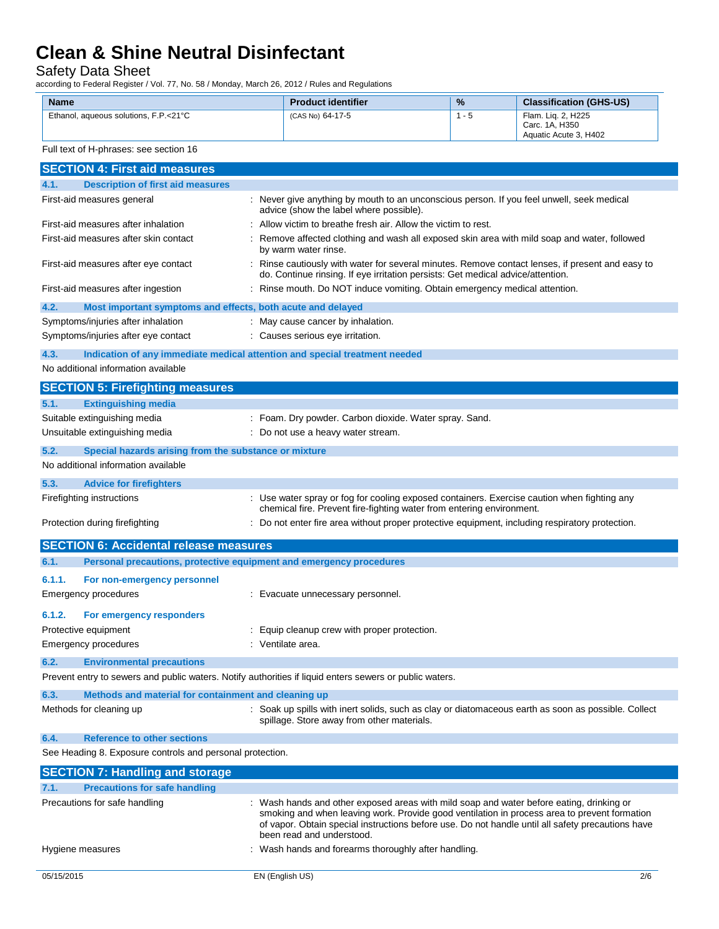Safety Data Sheet

according to Federal Register / Vol. 77, No. 58 / Monday, March 26, 2012 / Rules and Regulations

| <b>Name</b>                           | <b>Product identifier</b> | $\frac{9}{6}$ | <b>Classification (GHS-US)</b>                                |
|---------------------------------------|---------------------------|---------------|---------------------------------------------------------------|
| Ethanol, aqueous solutions, F.P.<21°C | (CAS No) 64-17-5          | - 5           | Flam. Lig. 2, H225<br>Carc. 1A. H350<br>Aquatic Acute 3, H402 |

| Full text of H-phrases: see section 16 |  |
|----------------------------------------|--|
|----------------------------------------|--|

| <b>SECTION 4: First aid measures</b>                                |                                                                                                                                                                                                                                |  |
|---------------------------------------------------------------------|--------------------------------------------------------------------------------------------------------------------------------------------------------------------------------------------------------------------------------|--|
| <b>Description of first aid measures</b><br>4.1.                    |                                                                                                                                                                                                                                |  |
| First-aid measures general                                          | : Never give anything by mouth to an unconscious person. If you feel unwell, seek medical<br>advice (show the label where possible).                                                                                           |  |
| First-aid measures after inhalation                                 | : Allow victim to breathe fresh air. Allow the victim to rest.                                                                                                                                                                 |  |
| First-aid measures after skin contact                               | Remove affected clothing and wash all exposed skin area with mild soap and water, followed<br>by warm water rinse.                                                                                                             |  |
| First-aid measures after eye contact                                | : Rinse cautiously with water for several minutes. Remove contact lenses, if present and easy to<br>do. Continue rinsing. If eye irritation persists: Get medical advice/attention.                                            |  |
| First-aid measures after ingestion                                  | : Rinse mouth. Do NOT induce vomiting. Obtain emergency medical attention.                                                                                                                                                     |  |
| 4.2.<br>Most important symptoms and effects, both acute and delayed |                                                                                                                                                                                                                                |  |
| Symptoms/injuries after inhalation                                  | : May cause cancer by inhalation.                                                                                                                                                                                              |  |
| Symptoms/injuries after eye contact                                 | : Causes serious eye irritation.                                                                                                                                                                                               |  |
| 4.3.                                                                | Indication of any immediate medical attention and special treatment needed                                                                                                                                                     |  |
| No additional information available                                 |                                                                                                                                                                                                                                |  |
| <b>SECTION 5: Firefighting measures</b>                             |                                                                                                                                                                                                                                |  |
| 5.1.<br><b>Extinguishing media</b>                                  |                                                                                                                                                                                                                                |  |
| Suitable extinguishing media                                        | : Foam. Dry powder. Carbon dioxide. Water spray. Sand.                                                                                                                                                                         |  |
| Unsuitable extinguishing media                                      | : Do not use a heavy water stream.                                                                                                                                                                                             |  |
| 5.2.<br>Special hazards arising from the substance or mixture       |                                                                                                                                                                                                                                |  |
| No additional information available                                 |                                                                                                                                                                                                                                |  |
| 5.3.<br><b>Advice for firefighters</b>                              |                                                                                                                                                                                                                                |  |
| Firefighting instructions                                           | : Use water spray or fog for cooling exposed containers. Exercise caution when fighting any                                                                                                                                    |  |
|                                                                     | chemical fire. Prevent fire-fighting water from entering environment.                                                                                                                                                          |  |
| Protection during firefighting                                      | : Do not enter fire area without proper protective equipment, including respiratory protection.                                                                                                                                |  |
| <b>SECTION 6: Accidental release measures</b>                       |                                                                                                                                                                                                                                |  |
| 6.1.                                                                | Personal precautions, protective equipment and emergency procedures                                                                                                                                                            |  |
| 6.1.1.<br>For non-emergency personnel                               |                                                                                                                                                                                                                                |  |
| <b>Emergency procedures</b>                                         | : Evacuate unnecessary personnel.                                                                                                                                                                                              |  |
| 6.1.2.<br>For emergency responders                                  |                                                                                                                                                                                                                                |  |
| Protective equipment                                                | Equip cleanup crew with proper protection.                                                                                                                                                                                     |  |
| <b>Emergency procedures</b>                                         | : Ventilate area.                                                                                                                                                                                                              |  |
| 6.2.<br><b>Environmental precautions</b>                            |                                                                                                                                                                                                                                |  |
|                                                                     | Prevent entry to sewers and public waters. Notify authorities if liquid enters sewers or public waters.                                                                                                                        |  |
| 6.3.<br>Methods and material for containment and cleaning up        |                                                                                                                                                                                                                                |  |
| Methods for cleaning up                                             | : Soak up spills with inert solids, such as clay or diatomaceous earth as soon as possible. Collect<br>spillage. Store away from other materials.                                                                              |  |
| 6.4.<br><b>Reference to other sections</b>                          |                                                                                                                                                                                                                                |  |
| See Heading 8. Exposure controls and personal protection.           |                                                                                                                                                                                                                                |  |
| <b>SECTION 7: Handling and storage</b>                              |                                                                                                                                                                                                                                |  |
| 7.1.<br><b>Precautions for safe handling</b>                        |                                                                                                                                                                                                                                |  |
| Precautions for safe handling                                       | Wash hands and other exposed areas with mild soap and water before eating, drinking or                                                                                                                                         |  |
|                                                                     | smoking and when leaving work. Provide good ventilation in process area to prevent formation<br>of vapor. Obtain special instructions before use. Do not handle until all safety precautions have<br>been read and understood. |  |
| Hygiene measures                                                    | Wash hands and forearms thoroughly after handling.                                                                                                                                                                             |  |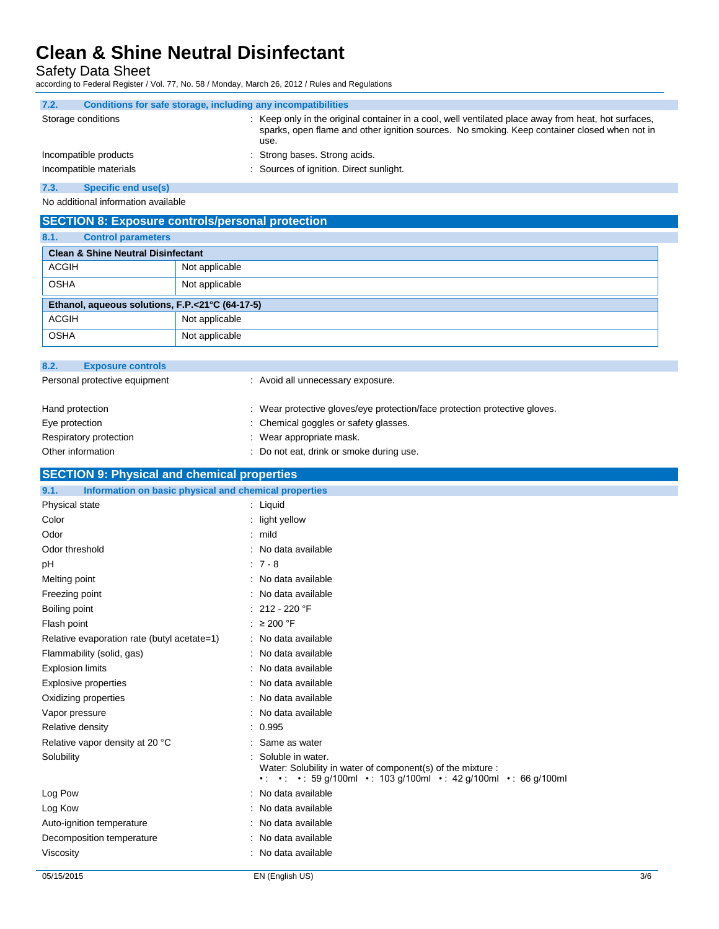Safety Data Sheet

according to Federal Register / Vol. 77, No. 58 / Monday, March 26, 2012 / Rules and Regulations

| 7.2.                   | Conditions for safe storage, including any incompatibilities                                                                                                                                                 |  |
|------------------------|--------------------------------------------------------------------------------------------------------------------------------------------------------------------------------------------------------------|--|
| Storage conditions     | : Keep only in the original container in a cool, well ventilated place away from heat, hot surfaces,<br>sparks, open flame and other ignition sources. No smoking. Keep container closed when not in<br>use. |  |
| Incompatible products  | : Strong bases. Strong acids.                                                                                                                                                                                |  |
| Incompatible materials | : Sources of ignition. Direct sunlight.                                                                                                                                                                      |  |

**7.3. Specific end use(s)**

No additional information available

| <b>SECTION 8: Exposure controls/personal protection</b> |                |  |  |  |
|---------------------------------------------------------|----------------|--|--|--|
| 8.1.<br><b>Control parameters</b>                       |                |  |  |  |
| <b>Clean &amp; Shine Neutral Disinfectant</b>           |                |  |  |  |
| <b>ACGIH</b>                                            | Not applicable |  |  |  |
| <b>OSHA</b>                                             | Not applicable |  |  |  |
| Ethanol, aqueous solutions, F.P.<21°C (64-17-5)         |                |  |  |  |
| <b>ACGIH</b>                                            | Not applicable |  |  |  |
| <b>OSHA</b>                                             | Not applicable |  |  |  |

| 8.2.              | <b>Exposure controls</b>      |                                                                            |
|-------------------|-------------------------------|----------------------------------------------------------------------------|
|                   | Personal protective equipment | : Avoid all unnecessary exposure.                                          |
| Hand protection   |                               | : Wear protective gloves/eye protection/face protection protective gloves. |
| Eye protection    |                               | : Chemical goggles or safety glasses.                                      |
|                   | Respiratory protection        | : Wear appropriate mask.                                                   |
| Other information |                               | : Do not eat, drink or smoke during use.                                   |

| <b>SECTION 9: Physical and chemical properties</b>            |                                                                                                                                                |  |
|---------------------------------------------------------------|------------------------------------------------------------------------------------------------------------------------------------------------|--|
| Information on basic physical and chemical properties<br>9.1. |                                                                                                                                                |  |
| Physical state                                                | : Liquid                                                                                                                                       |  |
| Color                                                         | : light yellow                                                                                                                                 |  |
| Odor                                                          | $:$ mild                                                                                                                                       |  |
| Odor threshold                                                | : No data available                                                                                                                            |  |
| pH                                                            | $: 7 - 8$                                                                                                                                      |  |
| Melting point                                                 | : No data available                                                                                                                            |  |
| Freezing point                                                | : No data available                                                                                                                            |  |
| Boiling point                                                 | $: 212 - 220$ °F                                                                                                                               |  |
| Flash point                                                   | : $\geq 200$ °F                                                                                                                                |  |
| Relative evaporation rate (butyl acetate=1)                   | : No data available                                                                                                                            |  |
| Flammability (solid, gas)                                     | : No data available                                                                                                                            |  |
| <b>Explosion limits</b>                                       | : No data available                                                                                                                            |  |
| Explosive properties                                          | : No data available                                                                                                                            |  |
| Oxidizing properties                                          | : No data available                                                                                                                            |  |
| Vapor pressure                                                | : No data available                                                                                                                            |  |
| Relative density                                              | : 0.995                                                                                                                                        |  |
| Relative vapor density at 20 °C                               | : Same as water                                                                                                                                |  |
| Solubility                                                    | Soluble in water.<br>Water: Solubility in water of component(s) of the mixture :<br>• • • • 59 g/100ml • 103 g/100ml • 42 g/100ml • 66 g/100ml |  |
| Log Pow                                                       | : No data available                                                                                                                            |  |
| Log Kow                                                       | : No data available                                                                                                                            |  |
| Auto-ignition temperature                                     | : No data available                                                                                                                            |  |
| Decomposition temperature                                     | : No data available                                                                                                                            |  |
| Viscosity                                                     | : No data available                                                                                                                            |  |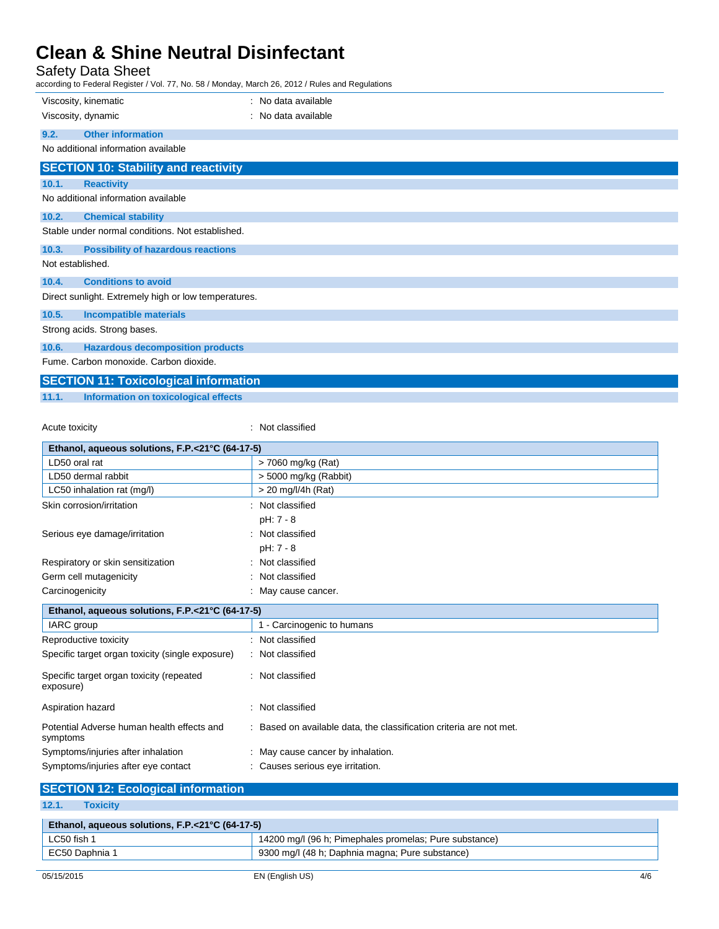Safety Data Sheet

according to Federal Register / Vol. 77, No. 58 / Monday, March 26, 2012 / Rules and Regulations

| according to Federal Keyister / Vol. 77, NO. 307 Monday, March 20, 2012 / Kules and Keyulations |                     |  |  |  |
|-------------------------------------------------------------------------------------------------|---------------------|--|--|--|
| Viscosity, kinematic                                                                            | : No data available |  |  |  |
| Viscosity, dynamic                                                                              | : No data available |  |  |  |
| <b>Other information</b><br>9.2.                                                                |                     |  |  |  |
| No additional information available                                                             |                     |  |  |  |
| <b>SECTION 10: Stability and reactivity</b>                                                     |                     |  |  |  |
| 10.1.<br><b>Reactivity</b>                                                                      |                     |  |  |  |
| No additional information available                                                             |                     |  |  |  |
| 10.2.<br><b>Chemical stability</b>                                                              |                     |  |  |  |
| Stable under normal conditions. Not established.                                                |                     |  |  |  |
| 10.3.<br><b>Possibility of hazardous reactions</b>                                              |                     |  |  |  |
| Not established.                                                                                |                     |  |  |  |
| 10.4.<br><b>Conditions to avoid</b>                                                             |                     |  |  |  |
| Direct sunlight. Extremely high or low temperatures.                                            |                     |  |  |  |
| 10.5.<br><b>Incompatible materials</b>                                                          |                     |  |  |  |
| Strong acids. Strong bases.                                                                     |                     |  |  |  |
| <b>Hazardous decomposition products</b><br>10.6.                                                |                     |  |  |  |
| Fume, Carbon monoxide, Carbon dioxide.                                                          |                     |  |  |  |
| <b>SECTION 11: Toxicological information</b>                                                    |                     |  |  |  |

**11.1. Information on toxicological effects**

Acute toxicity **in the case of the contract of the contract of the contract of the contract of the contract of the contract of the contract of the contract of the contract of the contract of the contract of the contract of** 

| Ethanol, aqueous solutions, F.P.<21°C (64-17-5)        |                                                                   |  |  |
|--------------------------------------------------------|-------------------------------------------------------------------|--|--|
| LD50 oral rat                                          | > 7060 mg/kg (Rat)                                                |  |  |
| LD50 dermal rabbit                                     | > 5000 mg/kg (Rabbit)                                             |  |  |
| LC50 inhalation rat (mg/l)                             | $> 20$ mg/l/4h (Rat)                                              |  |  |
| Skin corrosion/irritation                              | Not classified                                                    |  |  |
|                                                        | pH: 7 - 8                                                         |  |  |
| Serious eye damage/irritation                          | Not classified<br>۰.                                              |  |  |
|                                                        | pH: 7 - 8                                                         |  |  |
| Respiratory or skin sensitization                      | Not classified                                                    |  |  |
| Germ cell mutagenicity                                 | Not classified                                                    |  |  |
| Carcinogenicity                                        | May cause cancer.                                                 |  |  |
| Ethanol, aqueous solutions, F.P.<21°C (64-17-5)        |                                                                   |  |  |
| IARC group                                             | 1 - Carcinogenic to humans                                        |  |  |
| Reproductive toxicity                                  | Not classified                                                    |  |  |
| Specific target organ toxicity (single exposure)       | : Not classified                                                  |  |  |
| Specific target organ toxicity (repeated<br>exposure)  | : Not classified                                                  |  |  |
| Aspiration hazard                                      | Not classified                                                    |  |  |
| Potential Adverse human health effects and<br>symptoms | Based on available data, the classification criteria are not met. |  |  |
| Symptoms/injuries after inhalation                     | May cause cancer by inhalation.                                   |  |  |
| Symptoms/injuries after eye contact                    | Causes serious eye irritation.                                    |  |  |

| <b>SECTION 12: Ecological information</b>       |                                                        |  |  |
|-------------------------------------------------|--------------------------------------------------------|--|--|
| 12.1.<br><b>Toxicity</b>                        |                                                        |  |  |
| Ethanol, aqueous solutions, F.P.<21°C (64-17-5) |                                                        |  |  |
| LC50 fish 1                                     | 14200 mg/l (96 h; Pimephales promelas; Pure substance) |  |  |
| EC50 Daphnia 1                                  | 9300 mg/l (48 h; Daphnia magna; Pure substance)        |  |  |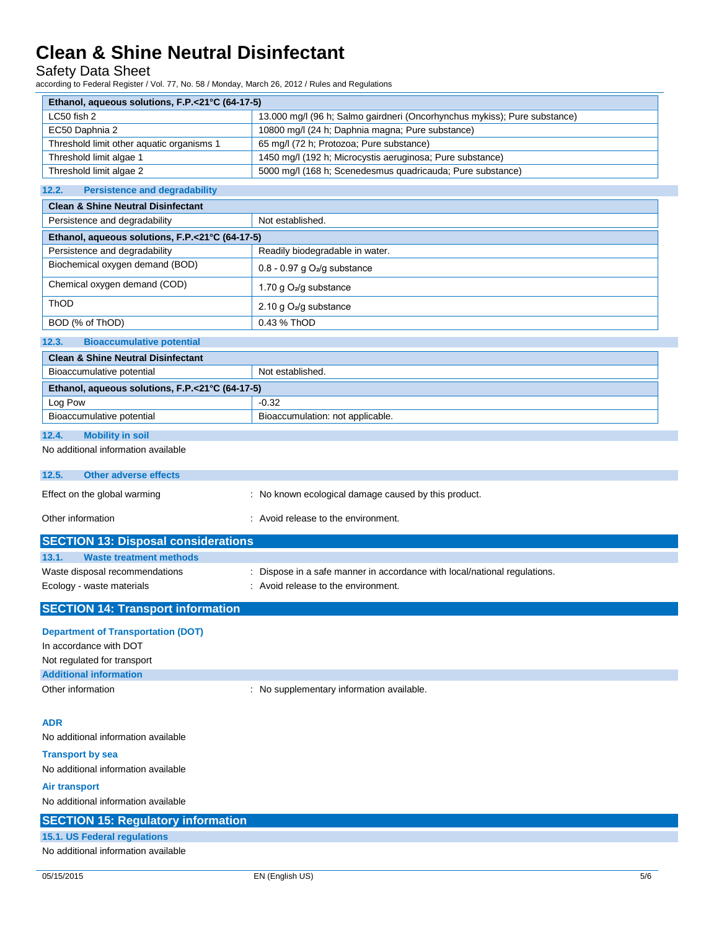Safety Data Sheet

according to Federal Register / Vol. 77, No. 58 / Monday, March 26, 2012 / Rules and Regulations

| Ethanol, aqueous solutions, F.P.<21°C (64-17-5) |                                                                           |  |
|-------------------------------------------------|---------------------------------------------------------------------------|--|
| LC50 fish 2                                     | 13.000 mg/l (96 h; Salmo gairdneri (Oncorhynchus mykiss); Pure substance) |  |
| EC50 Daphnia 2                                  | 10800 mg/l (24 h; Daphnia magna; Pure substance)                          |  |
| Threshold limit other aquatic organisms 1       | 65 mg/l (72 h; Protozoa; Pure substance)                                  |  |
| Threshold limit algae 1                         | 1450 mg/l (192 h; Microcystis aeruginosa; Pure substance)                 |  |
| Threshold limit algae 2                         | 5000 mg/l (168 h; Scenedesmus quadricauda; Pure substance)                |  |

#### **12.2. Persistence and degradability**

| <b>Clean &amp; Shine Neutral Disinfectant</b>   |                                 |  |
|-------------------------------------------------|---------------------------------|--|
| Persistence and degradability                   | Not established.                |  |
| Ethanol, aqueous solutions, F.P.<21°C (64-17-5) |                                 |  |
| Persistence and degradability                   | Readily biodegradable in water. |  |
| Biochemical oxygen demand (BOD)                 | $0.8 - 0.97$ g $O2/g$ substance |  |
| Chemical oxygen demand (COD)                    | 1.70 g $O_2$ /g substance       |  |
| ThOD                                            | 2.10 g $O_2$ /g substance       |  |
| BOD (% of ThOD)                                 | 0.43 % ThOD                     |  |
| 12.3.<br><b>Bioaccumulative potential</b>       |                                 |  |

### **Clean & Shine Neutral Disinfectant** Bioaccumulative potential Not established. **Ethanol, aqueous solutions, F.P.<21°C (64-17-5)**  $\log$  Pow  $\log$  -0.32 Bioaccumulative potential Bioaccumulation: not applicable.

#### **12.4. Mobility in soil**

No additional information available

| 12.5.             | Other adverse effects        |                                                      |
|-------------------|------------------------------|------------------------------------------------------|
|                   | Effect on the global warming | : No known ecological damage caused by this product. |
| Other information |                              | : Avoid release to the environment.                  |

| <b>SECTION 13: Disposal considerations</b> |                                                                           |  |
|--------------------------------------------|---------------------------------------------------------------------------|--|
| 13.1.<br>Waste treatment methods           |                                                                           |  |
| Waste disposal recommendations             | : Dispose in a safe manner in accordance with local/national regulations. |  |
| Ecology - waste materials                  | : Avoid release to the environment.                                       |  |
|                                            |                                                                           |  |

### **SECTION 14: Transport information**

| <b>Department of Transportation (DOT)</b> |                                           |
|-------------------------------------------|-------------------------------------------|
| In accordance with DOT                    |                                           |
| Not regulated for transport               |                                           |
| <b>Additional information</b>             |                                           |
| Other information                         | : No supplementary information available. |
|                                           |                                           |

### **ADR**

No additional information available

**Transport by sea** No additional information available

**Air transport**

No additional information available

| <b>SECTION 15: Regulatory information</b> |  |
|-------------------------------------------|--|
| 15.1. US Federal regulations              |  |
| No additional information available       |  |